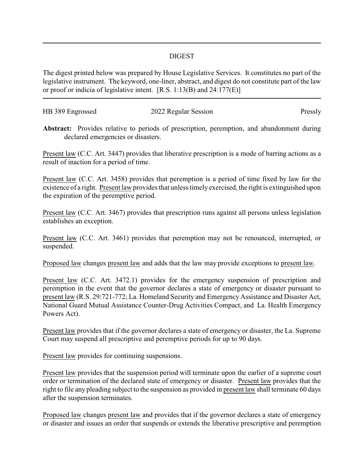## DIGEST

The digest printed below was prepared by House Legislative Services. It constitutes no part of the legislative instrument. The keyword, one-liner, abstract, and digest do not constitute part of the law or proof or indicia of legislative intent. [R.S. 1:13(B) and 24:177(E)]

| HB 389 Engrossed | 2022 Regular Session | Pressly |
|------------------|----------------------|---------|

**Abstract:** Provides relative to periods of prescription, peremption, and abandonment during declared emergencies or disasters.

Present law (C.C. Art. 3447) provides that liberative prescription is a mode of barring actions as a result of inaction for a period of time.

Present law (C.C. Art. 3458) provides that peremption is a period of time fixed by law for the existence of a right. Present law provides that unless timely exercised, the right is extinguished upon the expiration of the peremptive period.

Present law (C.C. Art. 3467) provides that prescription runs against all persons unless legislation establishes an exception.

Present law (C.C. Art. 3461) provides that peremption may not be renounced, interrupted, or suspended.

Proposed law changes present law and adds that the law may provide exceptions to present law.

Present law (C.C. Art. 3472.1) provides for the emergency suspension of prescription and peremption in the event that the governor declares a state of emergency or disaster pursuant to present law (R.S. 29:721-772; La. Homeland Security and Emergency Assistance and Disaster Act, National Guard Mutual Assistance Counter-Drug Activities Compact, and La. Health Emergency Powers Act).

Present law provides that if the governor declares a state of emergency or disaster, the La. Supreme Court may suspend all prescriptive and peremptive periods for up to 90 days.

Present law provides for continuing suspensions.

Present law provides that the suspension period will terminate upon the earlier of a supreme court order or termination of the declared state of emergency or disaster. Present law provides that the right to file any pleading subject to the suspension as provided in present law shall terminate 60 days after the suspension terminates.

Proposed law changes present law and provides that if the governor declares a state of emergency or disaster and issues an order that suspends or extends the liberative prescriptive and peremption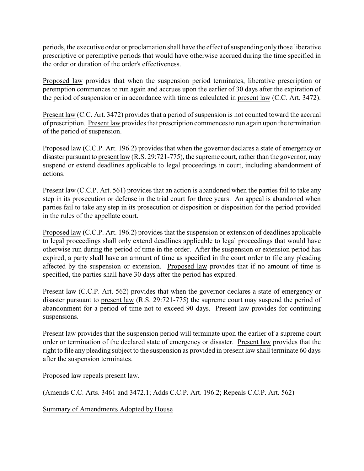periods, the executive order or proclamation shall have the effect of suspending only those liberative prescriptive or peremptive periods that would have otherwise accrued during the time specified in the order or duration of the order's effectiveness.

Proposed law provides that when the suspension period terminates, liberative prescription or peremption commences to run again and accrues upon the earlier of 30 days after the expiration of the period of suspension or in accordance with time as calculated in present law (C.C. Art. 3472).

Present law (C.C. Art. 3472) provides that a period of suspension is not counted toward the accrual of prescription. Present law provides that prescription commences to run again upon the termination of the period of suspension.

Proposed law (C.C.P. Art. 196.2) provides that when the governor declares a state of emergency or disaster pursuant to present law (R.S. 29:721-775), the supreme court, rather than the governor, may suspend or extend deadlines applicable to legal proceedings in court, including abandonment of actions.

Present law (C.C.P. Art. 561) provides that an action is abandoned when the parties fail to take any step in its prosecution or defense in the trial court for three years. An appeal is abandoned when parties fail to take any step in its prosecution or disposition or disposition for the period provided in the rules of the appellate court.

Proposed law (C.C.P. Art. 196.2) provides that the suspension or extension of deadlines applicable to legal proceedings shall only extend deadlines applicable to legal proceedings that would have otherwise run during the period of time in the order. After the suspension or extension period has expired, a party shall have an amount of time as specified in the court order to file any pleading affected by the suspension or extension. Proposed law provides that if no amount of time is specified, the parties shall have 30 days after the period has expired.

Present law (C.C.P. Art. 562) provides that when the governor declares a state of emergency or disaster pursuant to present law (R.S. 29:721-775) the supreme court may suspend the period of abandonment for a period of time not to exceed 90 days. Present law provides for continuing suspensions.

Present law provides that the suspension period will terminate upon the earlier of a supreme court order or termination of the declared state of emergency or disaster. Present law provides that the right to file any pleading subject to the suspension as provided in present law shall terminate 60 days after the suspension terminates.

Proposed law repeals present law.

(Amends C.C. Arts. 3461 and 3472.1; Adds C.C.P. Art. 196.2; Repeals C.C.P. Art. 562)

Summary of Amendments Adopted by House